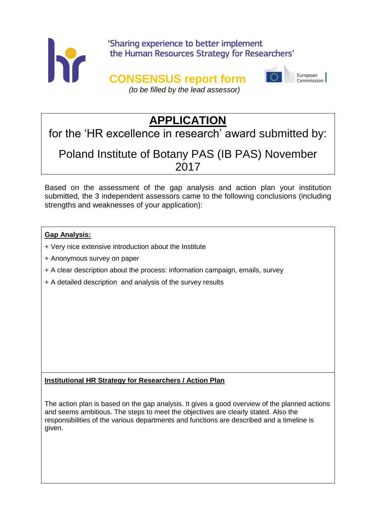

## 'Sharing experience to better implement the Human Resources Strategy for Researchers'

## **CONSENSUS report form**



European Commission

*(to be filled by the lead assessor)*

# **APPLICATION**

for the 'HR excellence in research' award submitted by:

## Poland Institute of Botany PAS (IB PAS) November 2017

Based on the assessment of the gap analysis and action plan your institution submitted, the 3 independent assessors came to the following conclusions (including strengths and weaknesses of your application):

## **Gap Analysis:**

- *+* Very nice extensive introduction about the Institute
- + Anonymous survey on paper
- + A clear description about the process: information campaign, emails, survey
- + A detailed description and analysis of the survey results

### **Institutional HR Strategy for Researchers / Action Plan**

The action plan is based on the gap analysis. It gives a good overview of the planned actions and seems ambitious. The steps to meet the objectives are clearly stated. Also the responsibilities of the various departments and functions are described and a timeline is given.